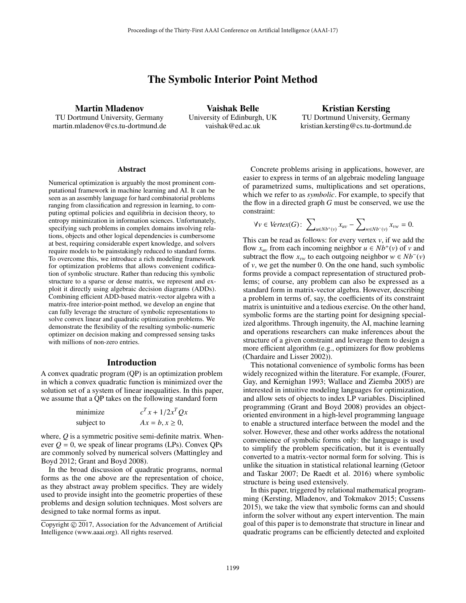# The Symbolic Interior Point Method

Martin Mladenov

TU Dortmund University, Germany martin.mladenov@cs.tu-dortmund.de

Vaishak Belle University of Edinburgh, UK vaishak@ed.ac.uk

Kristian Kersting TU Dortmund University, Germany kristian.kersting@cs.tu-dortmund.de

#### **Abstract**

Numerical optimization is arguably the most prominent computational framework in machine learning and AI. It can be seen as an assembly language for hard combinatorial problems ranging from classification and regression in learning, to computing optimal policies and equilibria in decision theory, to entropy minimization in information sciences. Unfortunately, specifying such problems in complex domains involving relations, objects and other logical dependencies is cumbersome at best, requiring considerable expert knowledge, and solvers require models to be painstakingly reduced to standard forms. To overcome this, we introduce a rich modeling framework for optimization problems that allows convenient codification of symbolic structure. Rather than reducing this symbolic structure to a sparse or dense matrix, we represent and exploit it directly using algebraic decision diagrams (ADDs). Combining efficient ADD-based matrix-vector algebra with a matrix-free interior-point method, we develop an engine that can fully leverage the structure of symbolic representations to solve convex linear and quadratic optimization problems. We demonstrate the flexibility of the resulting symbolic-numeric optimizer on decision making and compressed sensing tasks with millions of non-zero entries.

## Introduction

A convex quadratic program (QP) is an optimization problem in which a convex quadratic function is minimized over the solution set of a system of linear inequalities. In this paper, we assume that a QP takes on the following standard form

| minimize   | $c^T x + 1/2x^T Q x$ |
|------------|----------------------|
| subject to | $Ax = b, x \geq 0$ , |

where, *Q* is a symmetric positive semi-definite matrix. Whenever  $Q = 0$ , we speak of linear programs (LPs). Convex QPs are commonly solved by numerical solvers (Mattingley and Boyd 2012; Grant and Boyd 2008).

In the broad discussion of quadratic programs, normal forms as the one above are the representation of choice, as they abstract away problem specifics. They are widely used to provide insight into the geometric properties of these problems and design solution techniques. Most solvers are designed to take normal forms as input.

Concrete problems arising in applications, however, are easier to express in terms of an algebraic modeling language of parametrized sums, multiplications and set operations, which we refer to as *symbolic*. For example, to specify that the flow in a directed graph *G* must be conserved, we use the constraint:

$$
\forall v \in \text{Vertex}(G): \ \sum_{u \in Nb^+(v)} x_{uv} - \sum_{w \in Nb^-(v)} x_{vw} = 0.
$$

This can be read as follows: for every vertex *v*, if we add the flow  $x_{uv}$  from each incoming neighbor  $u \in Nb^+(v)$  of v and subtract the flow  $x_{vw}$  to each outgoing neighbor  $w \in Nb^-(v)$ of *v*, we get the number 0. On the one hand, such symbolic forms provide a compact representation of structured problems; of course, any problem can also be expressed as a standard form in matrix-vector algebra. However, describing a problem in terms of, say, the coefficients of its constraint matrix is unintuitive and a tedious exercise. On the other hand, symbolic forms are the starting point for designing specialized algorithms. Through ingenuity, the AI, machine learning and operations researchers can make inferences about the structure of a given constraint and leverage them to design a more efficient algorithm (e.g., optimizers for flow problems (Chardaire and Lisser 2002)).

This notational convenience of symbolic forms has been widely recognized within the literature. For example, (Fourer, Gay, and Kernighan 1993; Wallace and Ziemba 2005) are interested in intuitive modeling languages for optimization, and allow sets of objects to index LP variables. Disciplined programming (Grant and Boyd 2008) provides an objectoriented environment in a high-level programming language to enable a structured interface between the model and the solver. However, these and other works address the notational convenience of symbolic forms only: the language is used to simplify the problem specification, but it is eventually converted to a matrix-vector normal form for solving. This is unlike the situation in statistical relational learning (Getoor and Taskar 2007; De Raedt et al. 2016) where symbolic structure is being used extensively.

In this paper, triggered by relational mathematical programming (Kersting, Mladenov, and Tokmakov 2015; Cussens 2015), we take the view that symbolic forms can and should inform the solver without any expert intervention. The main goal of this paper is to demonstrate that structure in linear and quadratic programs can be efficiently detected and exploited

Copyright  $\odot$  2017, Association for the Advancement of Artificial Intelligence (www.aaai.org). All rights reserved.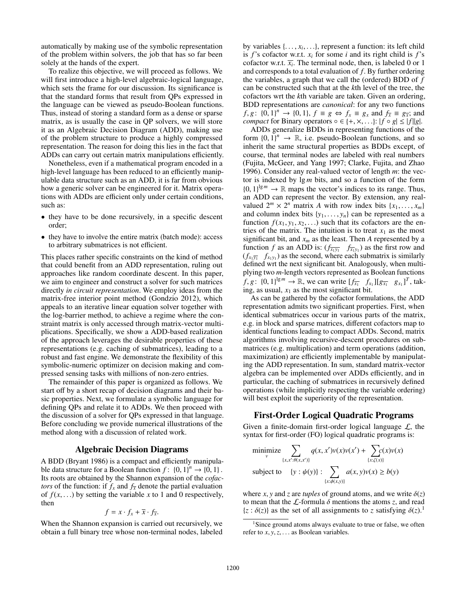automatically by making use of the symbolic representation of the problem within solvers, the job that has so far been solely at the hands of the expert.

To realize this objective, we will proceed as follows. We will first introduce a high-level algebraic-logical language, which sets the frame for our discussion. Its significance is that the standard forms that result from QPs expressed in the language can be viewed as pseudo-Boolean functions. Thus, instead of storing a standard form as a dense or sparse matrix, as is usually the case in QP solvers, we will store it as an Algebraic Decision Diagram (ADD), making use of the problem structure to produce a highly compressed representation. The reason for doing this lies in the fact that ADDs can carry out certain matrix manipulations efficiently.

Nonetheless, even if a mathematical program encoded in a high-level language has been reduced to an efficiently manipulable data structure such as an ADD, it is far from obvious how a generic solver can be engineered for it. Matrix operations with ADDs are efficient only under certain conditions, such as:

- they have to be done recursively, in a specific descent order;
- they have to involve the entire matrix (batch mode): access to arbitrary submatrices is not efficient.

This places rather specific constraints on the kind of method that could benefit from an ADD representation, ruling out approaches like random coordinate descent. In this paper, we aim to engineer and construct a solver for such matrices directly *in circuit representation*. We employ ideas from the matrix-free interior point method (Gondzio 2012), which appeals to an iterative linear equation solver together with the log-barrier method, to achieve a regime where the constraint matrix is only accessed through matrix-vector multiplications. Specifically, we show a ADD-based realization of the approach leverages the desirable properties of these representations (e.g. caching of submatrices), leading to a robust and fast engine. We demonstrate the flexibility of this symbolic-numeric optimizer on decision making and compressed sensing tasks with millions of non-zero entries.

The remainder of this paper is organized as follows. We start off by a short recap of decision diagrams and their basic properties. Next, we formulate a symbolic language for defining QPs and relate it to ADDs. We then proceed with the discussion of a solver for QPs expressed in that language. Before concluding we provide numerical illustrations of the method along with a discussion of related work.

#### Algebraic Decision Diagrams

A BDD (Bryant 1986) is a compact and efficiently manipulable data structure for a Boolean function  $f: \{0, 1\}^n \to \{0, 1\}$ . Its roots are obtained by the Shannon expansion of the *cofactors* of the function: if  $f_x$  and  $f_{\overline{x}}$  denote the partial evaluation of  $f(x, \ldots)$  by setting the variable x to 1 and 0 respectively, then

$$
f = x \cdot f_x + \overline{x} \cdot f_{\overline{x}}.
$$

When the Shannon expansion is carried out recursively, we obtain a full binary tree whose non-terminal nodes, labeled

by variables  $\{..., x_i,...\}$ , represent a function: its left child is  $f$ 's cofactor w.r.t.  $x_i$  for some  $i$  and its right child is  $f$ 's cofactor w.r.t.  $\overline{x_i}$ . The terminal node, then, is labeled 0 or 1 and corresponds to a total evaluation of *f*. By further ordering the variables, a graph that we call the (ordered) BDD of *f* can be constructed such that at the *k*th level of the tree, the cofactors wrt the *k*th variable are taken. Given an ordering, BDD representations are *canonical*: for any two functions *f*, *g*: {0, 1}<sup>*n*</sup>  $\rightarrow$  {0, 1}, *f*  $\equiv$  *g*  $\Leftrightarrow$  *f<sub>x</sub>*  $\equiv$  *g<sub>x</sub>* and *f<sub>x</sub>*  $\equiv$  *g<sub>x</sub>*; and *compact* for Binary operators  $\circ \in \{+, \times, \ldots\}$ :  $|f \circ g| \leq |f||g|$ .

ADDs generalize BDDs in representing functions of the form  $\{0, 1\}^n \to \mathbb{R}$ , i.e. pseudo-Boolean functions, and so inherit the same structural properties as BDDs except, of course, that terminal nodes are labeled with real numbers (Fujita, McGeer, and Yang 1997; Clarke, Fujita, and Zhao 1996). Consider any real-valued vector of length *m*: the vector is indexed by  $\lg m$  bits, and so a function of the form  ${0, 1}^{\lg m} \to \mathbb{R}$  maps the vector's indices to its range. Thus, an ADD can represent the vector. By extension, any realvalued  $2^m \times 2^n$  matrix *A* with row index bits  $\{x_1, \ldots, x_m\}$ and column index bits  $\{y_1, \ldots, y_n\}$  can be represented as a function  $f(x_1, y_1, x_2,...)$  such that its cofactors are the entries of the matrix. The intuition is to treat  $x_1$  as the most significant bit, and  $x_m$  as the least. Then  $A$  represented by a function *f* as an ADD is:  $(f_{\overline{x_1y_1}} \quad f_{\overline{x_1y_1}})$  as the first row and  $(f_{x_1\overline{y_1}}$   $f_{x_1y_1}$ ) as the second, where each submatrix is similarly defined wrt the next significant bit. Analogously, when multiplying two *m*-length vectors represented as Boolean functions *f*, *g*: {0, 1}<sup>lg *m*</sup>  $\rightarrow \mathbb{R}$ , we can write  $[f_{\overline{x_1}} \quad f_{x_1}][g_{\overline{x_1}} \quad g_{x_1}]^T$ , taking, as usual,  $x_1$  as the most significant bit.

As can be gathered by the cofactor formulations, the ADD representation admits two significant properties. First, when identical submatrices occur in various parts of the matrix, e.g. in block and sparse matrices, different cofactors map to identical functions leading to compact ADDs. Second, matrix algorithms involving recursive-descent procedures on submatrices (e.g. multiplication) and term operations (addition, maximization) are efficiently implementable by manipulating the ADD representation. In sum, standard matrix-vector algebra can be implemented over ADDs efficiently, and in particular, the caching of submatrices in recursively defined operations (while implicitly respecting the variable ordering) will best exploit the superiority of the representation.

#### First-Order Logical Quadratic Programs

Given a finite-domain first-order logical language  $\mathcal{L}$ , the syntax for first-order (FO) logical quadratic programs is:

$$
\underset{v}{\text{minimize}} \sum_{\{x, x': \theta(x, x')\}} q(x, x')v(x)v(x') + \sum_{\{x: \zeta(x)\}} c(x)v(x)
$$
\n
$$
\text{subject to} \quad \{y: \psi(y)\}: \sum_{\{x: \phi(x, y)\}} a(x, y)v(x) \ge b(y)
$$

where *x*, *y* and *z* are *tuples* of ground atoms, and we write  $\delta(z)$ to mean that the  $\mathcal{L}$ -formula  $\delta$  mentions the atoms *z*, and read  $\{z : \delta(z)\}\$ as the set of all assignments to *z* satisfying  $\delta(z)$ .<sup>1</sup>

<sup>&</sup>lt;sup>1</sup>Since ground atoms always evaluate to true or false, we often refer to *x*, *y*,*z*,... as Boolean variables.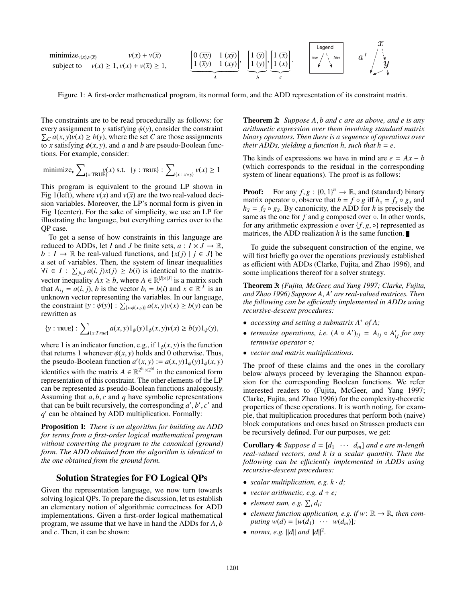minimize<sub>v(x),v(x)</sub>  
\nsubject to 
$$
v(x) \ge 1
$$
,  $v(x) + v(\overline{x}) \ge 1$ ,  $\left[\underbrace{0 (\overline{xy}) \quad 1 (x \overline{y})}_{A}\right], \left[\underbrace{1 (\overline{y})}_{b}, \underbrace{1 (\overline{x})}_{c}\right], \left[\underbrace{1 (\overline{x})}_{c}\right],$ 

Figure 1: A first-order mathematical program, its normal form, and the ADD representation of its constraint matrix.

The constraints are to be read procedurally as follows: for every assignment to *y* satisfying  $\psi(y)$ , consider the constraint  $\sum_{C} a(x, y)v(x) \ge b(y)$ , where the set *C* are those assignments to *x* satisfying  $\phi(x, y)$ , and *a* and *b* are pseudo-Boolean functions. For example, consider:

$$
\text{minimize}_{v} \sum\nolimits_{\{x: \text{TRUE}\}} y(x) \text{ s.t. } \{y: \text{TRUE}\} : \sum\nolimits_{\{x: x \vee y\}} v(x) \ge 1
$$

This program is equivalent to the ground LP shown in Fig 1(left), where  $v(x)$  and  $v(\overline{x})$  are the two real-valued decision variables. Moreover, the LP's normal form is given in Fig 1(center). For the sake of simplicity, we use an LP for illustrating the language, but everything carries over to the QP case.

To get a sense of how constraints in this language are reduced to ADDs, let *I* and *J* be finite sets,  $a: I \times J \rightarrow \mathbb{R}$ , *b* : *I* → ℝ be real-valued functions, and  $\{x(j) | j \in J\}$  be a set of variables. Then, the system of linear inequalities *∀i* ∈ *I* :  $\sum_{j \in J} a(i, j)x(j) \ge b(i)$  is identical to the matrixvector inequality  $Ax \ge b$ , where  $A \in \mathbb{R}^{|I| \times |J|}$  is a matrix such that  $A_{ij} = a(i, j)$ , *b* is the vector  $b_i = b(i)$  and  $x \in \mathbb{R}^{|J|}$  is an unknown vector representing the variables. In our language, the constraint  $\{y : \psi(y)\} : \sum_{\{x : \phi(x, y)\}} a(x, y)v(x) \ge b(y)$  can be rewritten as

{
$$
y
$$
 : TRUE} :  $\sum_{\{x:True\}} a(x, y) 1_{\psi}(y) 1_{\phi}(x, y) v(x) \ge b(y) 1_{\psi}(y),$ 

where 1 is an indicator function, e.g., if  $1_{\phi}(x, y)$  is the function that returns 1 whenever  $\phi(x, y)$  holds and 0 otherwise. Thus, the pseudo-Boolean function  $a'(x, y) := a(x, y)1_{\psi}(y)1_{\phi}(x, y)$ identifies with the matrix  $A \in \mathbb{R}^{2^{|x|} \times 2^{|y|}}$  in the canonical form representation of this constraint. The other elements of the LP can be represented as pseudo-Boolean functions analogously. Assuming that *a*, *b*, *c* and *q* have symbolic representations that can be built recursively, the corresponding  $a', b', c'$  and *q* can be obtained by ADD multiplication. Formally:

Proposition 1: *There is an algorithm for building an ADD for terms from a first-order logical mathematical program without converting the program to the canonical (ground) form. The ADD obtained from the algorithm is identical to the one obtained from the ground form.*

## Solution Strategies for FO Logical QPs

Given the representation language, we now turn towards solving logical QPs. To prepare the discussion, let us establish an elementary notion of algorithmic correctness for ADD implementations. Given a first-order logical mathematical program, we assume that we have in hand the ADDs for *A*, *b* and *c*. Then, it can be shown:

Theorem 2: *Suppose A*, *b and c are as above, and e is any arithmetic expression over them involving standard matrix binary operators. Then there is a sequence of operations over their ADDs, yielding a function h, such that*  $h = e$ *.* 

 $\hat{\mathbf{r}}$ 

The kinds of expressions we have in mind are  $e = Ax - b$ (which corresponds to the residual in the corresponding system of linear equations). The proof is as follows:

**Proof:** For any  $f, g : \{0, 1\}^n \to \mathbb{R}$ , and (standard) binary matrix operator  $\circ$ , observe that  $h = f \circ g$  iff  $h_x = f_x \circ g_x$  and  $h_{\overline{x}} = f_{\overline{x}} \circ g_{\overline{x}}$ . By canonicity, the ADD for *h* is precisely the same as the one for *f* and *g* composed over ∘. In other words, for any arithmetic expression *e* over  $\{f, g, \circ\}$  represented as matrices, the ADD realization  $h$  is the same function.

To guide the subsequent construction of the engine, we will first briefly go over the operations previously established as efficient with ADDs (Clarke, Fujita, and Zhao 1996), and some implications thereof for a solver strategy.

Theorem 3: *(Fujita, McGeer, and Yang 1997; Clarke, Fujita, and Zhao 1996) Suppose A*, *A are real-valued matrices. Then the following can be e*ffi*ciently implemented in ADDs using recursive-descent procedures:*

- *accessing and setting a submatrix A*<sup>∗</sup> *of A;*
- *termwise operations, i.e.*  $(A \circ A')_{ij} = A_{ij} \circ A'_{ij}$  *for any termwise operator* ◦*;*
- *vector and matrix multiplications.*

The proof of these claims and the ones in the corollary below always proceed by leveraging the Shannon expansion for the corresponding Boolean functions. We refer interested readers to (Fujita, McGeer, and Yang 1997; Clarke, Fujita, and Zhao 1996) for the complexity-theoretic properties of these operations. It is worth noting, for example, that multiplication procedures that perform both (naive) block computations and ones based on Strassen products can be recursively defined. For our purposes, we get:

**Corollary 4:** Suppose  $d = [d_1 \cdots d_m]$  and *e* are *m*-length *real-valued vectors, and k is a scalar quantity. Then the following can be e*ffi*ciently implemented in ADDs using recursive-descent procedures:*

- *scalar multiplication, e.g. k* · *d;*
- *vector arithmetic, e.g.*  $d + e$ ;
- *element sum, e.g.*  $\sum_i d_i$ ;
- *element function application, e.g. if*  $w: \mathbb{R} \to \mathbb{R}$ *, then computing*  $w(d) = [w(d_1) \cdots w(d_m)]$ ;
- *norms, e.g.*  $||d||$  *and*  $||d||^2$ .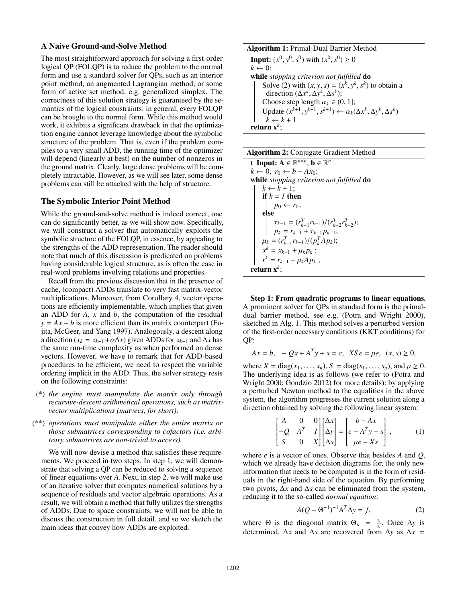## A Naive Ground-and-Solve Method

The most straightforward approach for solving a first-order logical QP (FOLQP) is to reduce the problem to the normal form and use a standard solver for QPs, such as an interior point method, an augmented Lagrangian method, or some form of active set method, e.g. generalized simplex. The correctness of this solution strategy is guaranteed by the semantics of the logical constraints: in general, every FOLQP can be brought to the normal form. While this method would work, it exhibits a significant drawback in that the optimization engine cannot leverage knowledge about the symbolic structure of the problem. That is, even if the problem compiles to a very small ADD, the running time of the optimizer will depend (linearly at best) on the number of nonzeros in the ground matrix. Clearly, large dense problems will be completely intractable. However, as we will see later, some dense problems can still be attacked with the help of structure.

## The Symbolic Interior Point Method

While the ground-and-solve method is indeed correct, one can do significantly better, as we will show now. Specifically, we will construct a solver that automatically exploits the symbolic structure of the FOLQP, in essence, by appealing to the strengths of the ADD representation. The reader should note that much of this discussion is predicated on problems having considerable logical structure, as is often the case in real-word problems involving relations and properties.

Recall from the previous discussion that in the presence of cache, (compact) ADDs translate to very fast matrix-vector multiplications. Moreover, from Corollary 4, vector operations are efficiently implementable, which implies that given an ADD for *A*, *x* and *b*, the computation of the residual  $y = Ax - b$  is more efficient than its matrix counterpart (Fujita, McGeer, and Yang 1997). Analogously, a descent along a direction ( $x_k = x_{k-1} + \alpha \Delta x$ ) given ADDs for  $x_{k-1}$  and  $\Delta x$  has the same run-time complexity as when performed on dense vectors. However, we have to remark that for ADD-based procedures to be efficient, we need to respect the variable ordering implicit in the ADD. Thus, the solver strategy rests on the following constraints:

- (\*) *the engine must manipulate the matrix only through recursive-descent arithmetical operations, such as matrixvector multiplications (matvecs, for short);*
- (\*\*) *operations must manipulate either the entire matrix or those submatrices corresponding to cofactors (i.e. arbitrary submatrices are non-trivial to access).*

We will now devise a method that satisfies these requirements. We proceed in two steps. In step 1, we will demonstrate that solving a QP can be reduced to solving a sequence of linear equations over *A*. Next, in step 2, we will make use of an iterative solver that computes numerical solutions by a sequence of residuals and vector algebraic operations. As a result, we will obtain a method that fully utilizes the strengths of ADDs. Due to space constraints, we will not be able to discuss the construction in full detail, and so we sketch the main ideas that convey how ADDs are exploited.

# Algorithm 1: Primal-Dual Barrier Method **Input:**  $(x^0, y^0, s^0)$  with  $(x^0, s^0) \ge 0$  $k \leftarrow 0$ ; while *stopping criterion not fulfilled* do Solve (2) with  $(x, y, s) = (x^k, y^k, s^k)$  to obtain a direction  $(\Delta x^k, \Delta y^k, \Delta s^k)$ ; Choose step length  $\alpha_k \in (0, 1]$ ; Update  $(x^{k+1}, y^{k+1}, s^{k+1}) \leftarrow \alpha_k(\Delta x^k, \Delta y^k, \Delta s^k)$

|  | <b>Algorithm 2: Conjugate Gradient Method</b> |
|--|-----------------------------------------------|
|  |                                               |

 $k \leftarrow k + 1$ 

return x*k*;

t Input:  $A \in \mathbb{R}^{n \times n}$ ,  $b \in \mathbb{R}^{n}$  $k$  ← 0,  $r_0$  ←  $b$  −  $Ax_0$ ; while *stopping criterion not fulfilled* do  $k \leftarrow k + 1$ ; if  $k = 1$  then  $p_0 \leftarrow r_0$ ; else  $\tau_{k-1} = (r_{k-1}^T r_{k-1})/(r_{k-2}^T r_{k-2}^T);$  $p_k = r_{k-1} + \tau_{k-1} p_{k-1};$  $\mu_k = (r_{k-1}^T r_{k-1})/(p_k^T A p_k);$  $x^k = x_{k-1} + \mu_k p_k;$  $r^k = r_{k-1} - \mu_k A p_k$ ; return x*<sup>k</sup>*;

Step 1: From quadratic programs to linear equations. A prominent solver for QPs in standard form is the primaldual barrier method, see e.g. (Potra and Wright 2000), sketched in Alg. 1. This method solves a perturbed version of the first-order necessary conditions (KKT conditions) for QP:

$$
Ax = b, \quad -Qx + A^{T}y + s = c, \ \ XSe = \mu e, \ \ (x, s) \ge 0,
$$

where  $X = diag(x_1, ..., x_n)$ ,  $S = diag(s_1, ..., s_n)$ , and  $\mu \ge 0$ . The underlying idea is as follows (we refer to (Potra and Wright 2000; Gondzio 2012) for more details): by applying a perturbed Newton method to the equalities in the above system, the algorithm progresses the current solution along a direction obtained by solving the following linear system:

$$
\begin{bmatrix} A & 0 & 0 \ -Q & A^T & I \ S & 0 & X \end{bmatrix} \begin{bmatrix} \Delta x \\ \Delta y \\ \Delta s \end{bmatrix} = \begin{bmatrix} b - Ax \\ c - A^T y - s \\ \mu e - Xs \end{bmatrix},
$$
 (1)

where *e* is a vector of ones. Observe that besides *A* and *Q*, which we already have decision diagrams for, the only new information that needs to be computed is in the form of residuals in the right-hand side of the equation. By performing two pivots,  $\Delta x$  and  $\Delta s$  can be eliminated from the system, reducing it to the so-called *normal equation*:

$$
A(Q + \Theta^{-1})^{-1}A^T \Delta y = f,\tag{2}
$$

where  $\Theta$  is the diagonal matrix  $\Theta_{ii} = \frac{x_i}{s_i}$ . Once  $\Delta y$  is determined,  $\Delta x$  and  $\Delta s$  are recovered from  $\Delta y$  as  $\Delta x$  =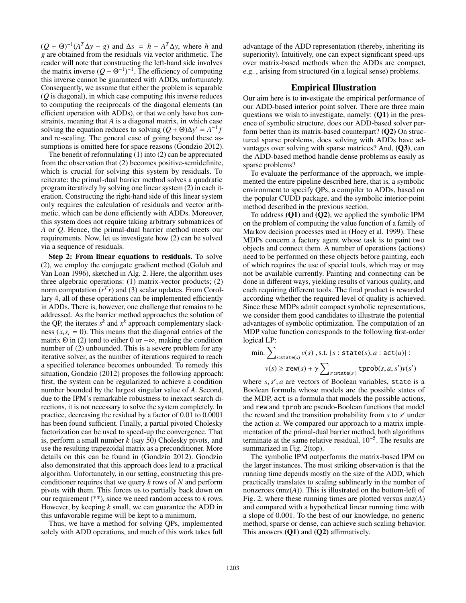$(Q + \Theta)^{-1}(A^T \Delta y - g)$  and  $\Delta s = h - A^T \Delta y$ , where *h* and *g* are obtained from the residuals via vector arithmetic. The reader will note that constructing the left-hand side involves the matrix inverse  $(Q + \Theta^{-1})^{-1}$ . The efficiency of computing this inverse cannot be guaranteed with ADDs, unfortunately. Consequently, we assume that either the problem is separable (*Q* is diagonal), in which case computing this inverse reduces to computing the reciprocals of the diagonal elements (an efficient operation with ADDs), or that we only have box constraints, meaning that *A* is a diagonal matrix, in which case solving the equation reduces to solving  $(Q + \Theta)\Delta y' = A^{-1}f$ and re-scaling. The general case of going beyond these assumptions is omitted here for space reasons (Gondzio 2012).

The benefit of reformulating (1) into (2) can be appreciated from the observation that (2) becomes positive-semidefinite, which is crucial for solving this system by residuals. To reiterate: the primal-dual barrier method solves a quadratic program iteratively by solving one linear system (2) in each iteration. Constructing the right-hand side of this linear system only requires the calculation of residuals and vector arithmetic, which can be done efficiently with ADDs. Moreover, this system does not require taking arbitrary submatrices of *A* or *Q*. Hence, the primal-dual barrier method meets our requirements. Now, let us investigate how (2) can be solved via a sequence of residuals.

Step 2: From linear equations to residuals. To solve (2), we employ the conjugate gradient method (Golub and Van Loan 1996), sketched in Alg. 2. Here, the algorithm uses three algebraic operations: (1) matrix-vector products; (2) norm computation  $(r<sup>T</sup> r)$  and (3) scalar updates. From Corollary 4, all of these operations can be implemented efficiently in ADDs. There is, however, one challenge that remains to be addressed. As the barrier method approaches the solution of the QP, the iterates  $s^k$  and  $x^k$  approach complementary slackness  $(x_i s_i = 0)$ . This means that the diagonal entries of the matrix  $\Theta$  in (2) tend to either 0 or + $\infty$ , making the condition number of (2) unbounded. This is a severe problem for any iterative solver, as the number of iterations required to reach a specified tolerance becomes unbounded. To remedy this situation, Gondzio (2012) proposes the following approach: first, the system can be regularized to achieve a condition number bounded by the largest singular value of *A*. Second, due to the IPM's remarkable robustness to inexact search directions, it is not necessary to solve the system completely. In practice, decreasing the residual by a factor of 0.01 to 0.0001 has been found sufficient. Finally, a partial pivoted Cholesky factorization can be used to speed-up the convergence. That is, perform a small number *k* (say 50) Cholesky pivots, and use the resulting trapezoidal matrix as a preconditioner. More details on this can be found in (Gondzio 2012). Gondzio also demonstrated that this approach does lead to a practical algorithm. Unfortunately, in our setting, constructing this preconditioner requires that we query *k* rows of *N* and perform pivots with them. This forces us to partially back down on our requirement (\*\*), since we need random access to *k* rows. However, by keeping *k* small, we can guarantee the ADD in this unfavorable regime will be kept to a minimum.

Thus, we have a method for solving QPs, implemented solely with ADD operations, and much of this work takes full

advantage of the ADD representation (thereby, inheriting its superiority). Intuitively, one can expect significant speed-ups over matrix-based methods when the ADDs are compact, e.g. , arising from structured (in a logical sense) problems.

## Empirical Illustration

Our aim here is to investigate the empirical performance of our ADD-based interior point solver. There are three main questions we wish to investigate, namely: (Q1) in the presence of symbolic structure, does our ADD-based solver perform better than its matrix-based counterpart?  $(Q2)$  On structured sparse problems, does solving with ADDs have advantages over solving with sparse matrices? And, (Q3), can the ADD-based method handle dense problems as easily as sparse problems?

To evaluate the performance of the approach, we implemented the entire pipeline described here, that is, a symbolic environment to specify QPs, a compiler to ADDs, based on the popular CUDD package, and the symbolic interior-point method described in the previous section.

To address  $(01)$  and  $(02)$ , we applied the symbolic IPM on the problem of computing the value function of a family of Markov decision processes used in (Hoey et al. 1999). These MDPs concern a factory agent whose task is to paint two objects and connect them. A number of operations (actions) need to be performed on these objects before painting, each of which requires the use of special tools, which may or may not be available currently. Painting and connecting can be done in different ways, yielding results of various quality, and each requiring different tools. The final product is rewarded according whether the required level of quality is achieved. Since these MDPs admit compact symbolic representations, we consider them good candidates to illustrate the potential advantages of symbolic optimization. The computation of an MDP value function corresponds to the following first-order logical LP:

min. 
$$
\sum_{s:state(s)} v(s)
$$
, s.t. {s : state(s), a : act(a)} :  
 $v(s) \ge \text{rew}(s) + \gamma \sum_{s':state(s')} \text{tprob}(s, a, s')v(s')$ 

where *s*, *s* , *a* are vectors of Boolean variables, state is a Boolean formula whose models are the possible states of the MDP, act is a formula that models the possible actions, and rew and tprob are pseudo-Boolean functions that model the reward and the transition probability from *s* to *s'* under the action *a*. We compared our approach to a matrix implementation of the primal-dual barrier method, both algorithms terminate at the same relative residual,  $10^{-5}$ . The results are summarized in Fig. 2(top).

The symbolic IPM outperforms the matrix-based IPM on the larger instances. The most striking observation is that the running time depends mostly on the size of the ADD, which practically translates to scaling sublinearly in the number of nonzeroes (nnz(*A*)). This is illustrated on the bottom-left of Fig. 2, where these running times are plotted versus nnz(*A*) and compared with a hypothetical linear running time with a slope of 0.001. To the best of our knowledge, no generic method, sparse or dense, can achieve such scaling behavior. This answers (Q1) and (Q2) affirmatively.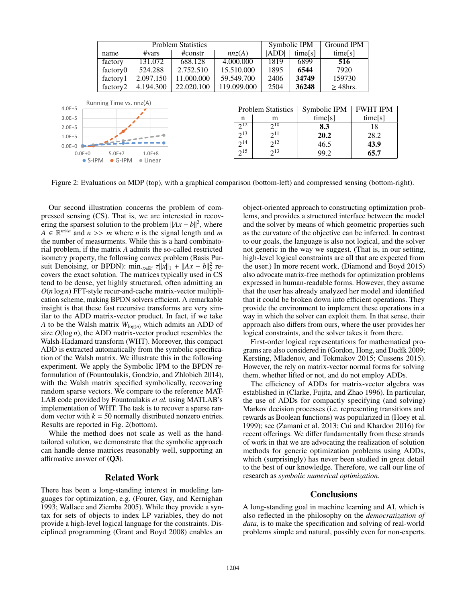|                 | <b>Problem Statistics</b> |                  |            |             | Symbolic IPM |                           | Ground IPM |               |  |                 |
|-----------------|---------------------------|------------------|------------|-------------|--------------|---------------------------|------------|---------------|--|-----------------|
|                 | name                      | #vars            | #constr    | nnz(A)      |              | <b>ADDI</b>               | time[s]    | time[s]       |  |                 |
|                 | factory                   | 131.072          | 688.128    | 4.000.000   |              | 1819                      | 6899       | 516           |  |                 |
|                 | factory0                  | 524.288          | 2.752.510  | 15.510.000  |              | 1895                      | 6544       | 7920          |  |                 |
|                 | factory1                  | 2.097.150        | 11.000.000 | 59.549.700  |              | 2406                      | 34749      | 159730        |  |                 |
|                 | factory <sub>2</sub>      | 4.194.300        | 22.020.100 | 119.099.000 |              | 2504                      | 36248      | $\geq$ 48hrs. |  |                 |
|                 |                           |                  |            |             |              |                           |            |               |  |                 |
| $4.0E + 5$      | Running Time vs. nnz(A)   |                  |            |             |              | <b>Problem Statistics</b> |            | Symbolic IPM  |  | <b>FWHT IPM</b> |
| $3.0E + 5$      |                           |                  |            |             | n            | m                         |            | time[s]       |  | time[s]         |
| $2.0E + 5$      |                           |                  |            |             | $2^{12}$     | $2^{10}$                  |            | 8.3           |  | 18              |
| $1.0E + 5$      |                           |                  |            |             | $2^{13}$     | $2^{11}$                  |            | 20.2          |  | 28.2            |
| $0.0E + 0$      |                           |                  |            |             | $2^{14}$     | $2^{12}$                  |            | 46.5          |  | 43.9            |
| $0.0E + 0$      | $5.0E+7$                  | $1.0E + 8$       |            |             | $2^{15}$     | $2^{13}$                  |            | 99.2          |  | 65.7            |
| $\bullet$ S-IPM | $\bullet$ G-IPM           | $\bullet$ Linear |            |             |              |                           |            |               |  |                 |

Figure 2: Evaluations on MDP (top), with a graphical comparison (bottom-left) and compressed sensing (bottom-right).

Our second illustration concerns the problem of compressed sensing (CS). That is, we are interested in recovering the sparsest solution to the problem  $||Ax - b||^2$ , where  $A \in \mathbb{R}^{m \times n}$  and  $n \gg m$  where *n* is the signal length and *m* the number of measurments. While this is a hard combinatorial problem, if the matrix *A* admits the so-called restricted isometry property, the following convex problem (Basis Pursuit Denoising, or BPDN):  $\min_{x \in \mathbb{R}^n} \tau ||x||_1 + ||Ax - b||_2^2$  recovers the exact solution. The matrices typically used in CS tend to be dense, yet highly structured, often admitting an  $O(n \log n)$  FFT-style recur-and-cache matrix-vector multiplication scheme, making BPDN solvers efficient. A remarkable insight is that these fast recursive transforms are very similar to the ADD matrix-vector product. In fact, if we take *A* to be the Walsh matrix  $W_{log(n)}$  which admits an ADD of size  $O(\log n)$ , the ADD matrix-vector product resembles the Walsh-Hadamard transform (WHT). Moreover, this compact ADD is extracted automatically from the symbolic specification of the Walsh matrix. We illustrate this in the following experiment. We apply the Symbolic IPM to the BPDN reformulation of (Fountoulakis, Gondzio, and Zhlobich 2014), with the Walsh matrix specified symbolically, recovering random sparse vectors. We compare to the reference MAT-LAB code provided by Fountoulakis *et al.* using MATLAB's implementation of WHT. The task is to recover a sparse random vector with  $k = 50$  normally distributed nonzero entries. Results are reported in Fig. 2(bottom).

While the method does not scale as well as the handtailored solution, we demonstrate that the symbolic approach can handle dense matrices reasonably well, supporting an affirmative answer of (Q3).

## Related Work

There has been a long-standing interest in modeling languages for optimization, e.g. (Fourer, Gay, and Kernighan 1993; Wallace and Ziemba 2005). While they provide a syntax for sets of objects to index LP variables, they do not provide a high-level logical language for the constraints. Disciplined programming (Grant and Boyd 2008) enables an

object-oriented approach to constructing optimization problems, and provides a structured interface between the model and the solver by means of which geometric properties such as the curvature of the objective can be inferred. In contrast to our goals, the language is also not logical, and the solver not generic in the way we suggest. (That is, in our setting, high-level logical constraints are all that are expected from the user.) In more recent work, (Diamond and Boyd 2015) also advocate matrix-free methods for optimization problems expressed in human-readable forms. However, they assume that the user has already analyzed her model and identified that it could be broken down into efficient operations. They provide the environment to implement these operations in a way in which the solver can exploit them. In that sense, their approach also differs from ours, where the user provides her logical constraints, and the solver takes it from there.

First-order logical representations for mathematical programs are also considered in (Gordon, Hong, and Dudík 2009; Kersting, Mladenov, and Tokmakov 2015; Cussens 2015). However, the rely on matrix-vector normal forms for solving them, whether lifted or not, and do not employ ADDs.

The efficiency of ADDs for matrix-vector algebra was established in (Clarke, Fujita, and Zhao 1996). In particular, the use of ADDs for compactly specifying (and solving) Markov decision processes (i.e. representing transitions and rewards as Boolean functions) was popularized in (Hoey et al. 1999); see (Zamani et al. 2013; Cui and Khardon 2016) for recent offerings. We differ fundamentally from these strands of work in that we are advocating the realization of solution methods for generic optimization problems using ADDs, which (surprisingly) has never been studied in great detail to the best of our knowledge. Therefore, we call our line of research as *symbolic numerical optimization*.

## **Conclusions**

A long-standing goal in machine learning and AI, which is also reflected in the philosophy on the *democratization of data,* is to make the specification and solving of real-world problems simple and natural, possibly even for non-experts.